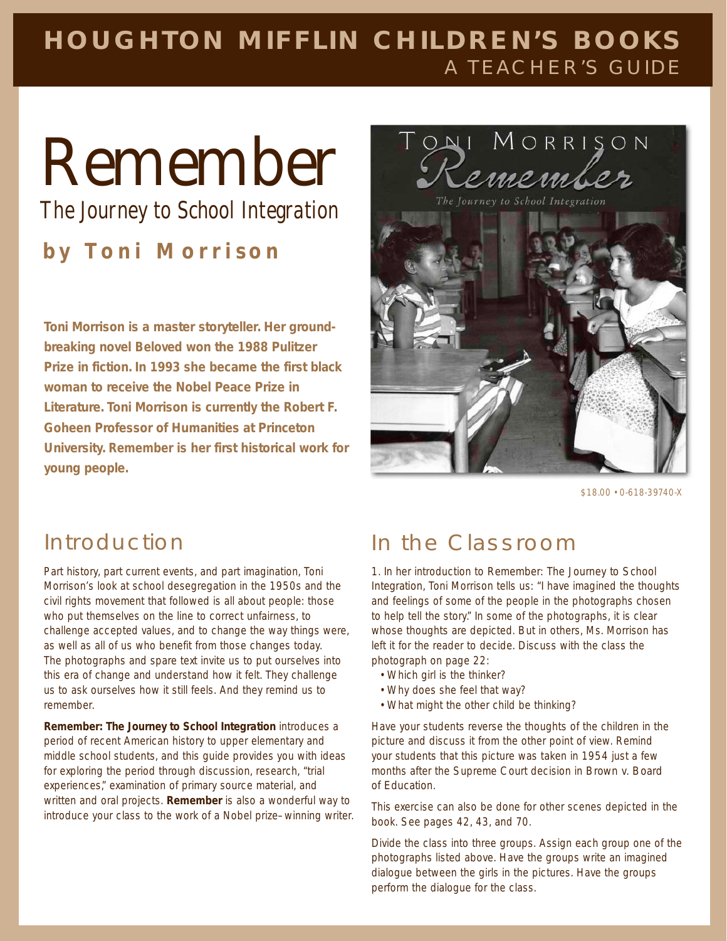## **HOUGHTON MIFFLIN CHILDREN'S BOOKS** A TEACHER'S GUIDE

## Remember

*The Journey to School Integration*

**b y Toni Morrison**

**Toni Morrison is a master storyteller. Her groundbreaking novel** *Beloved* **won the 1988 Pulitzer Prize in fiction. In 1993 she became the first black woman to receive the Nobel Peace Prize in Literature. Toni Morrison is currently the Robert F. Goheen Professor of Humanities at Princeton University.** *Remember* **is her first historical work for young people.**



\$18.00 • 0-618-39740-X

Part history, part current events, and part imagination, Toni Morrison's look at school desegregation in the 1950s and the civil rights movement that followed is all about people: those who put themselves on the line to correct unfairness, to challenge accepted values, and to change the way things were, as well as all of us who benefit from those changes today. The photographs and spare text invite us to put ourselves into this era of change and understand how it felt. They challenge us to ask ourselves how it still feels. And they remind us to remember.

*Remember: The Journey to School Integration* introduces a period of recent American history to upper elementary and middle school students, and this guide provides you with ideas for exploring the period through discussion, research, "trial experiences," examination of primary source material, and written and oral projects. *Remember* is also a wonderful way to introduce your class to the work of a Nobel prize–winning writer.

## Introduction In the Classroom

1. In her introduction to *Remember: The Journey to School Integration*, Toni Morrison tells us: "I have imagined the thoughts and feelings of some of the people in the photographs chosen to help tell the story." In some of the photographs, it is clear whose thoughts are depicted. But in others, Ms. Morrison has left it for the reader to decide. Discuss with the class the photograph on page 22:

- Which girl is the thinker?
- Why does she feel that way?
- What might the other child be thinking?

Have your students reverse the thoughts of the children in the picture and discuss it from the other point of view. Remind your students that this picture was taken in 1954 just a few months after the Supreme Court decision in *Brown v. Board of Education*.

This exercise can also be done for other scenes depicted in the book. See pages 42, 43, and 70.

Divide the class into three groups. Assign each group one of the photographs listed above. Have the groups write an imagined dialogue between the girls in the pictures. Have the groups perform the dialogue for the class.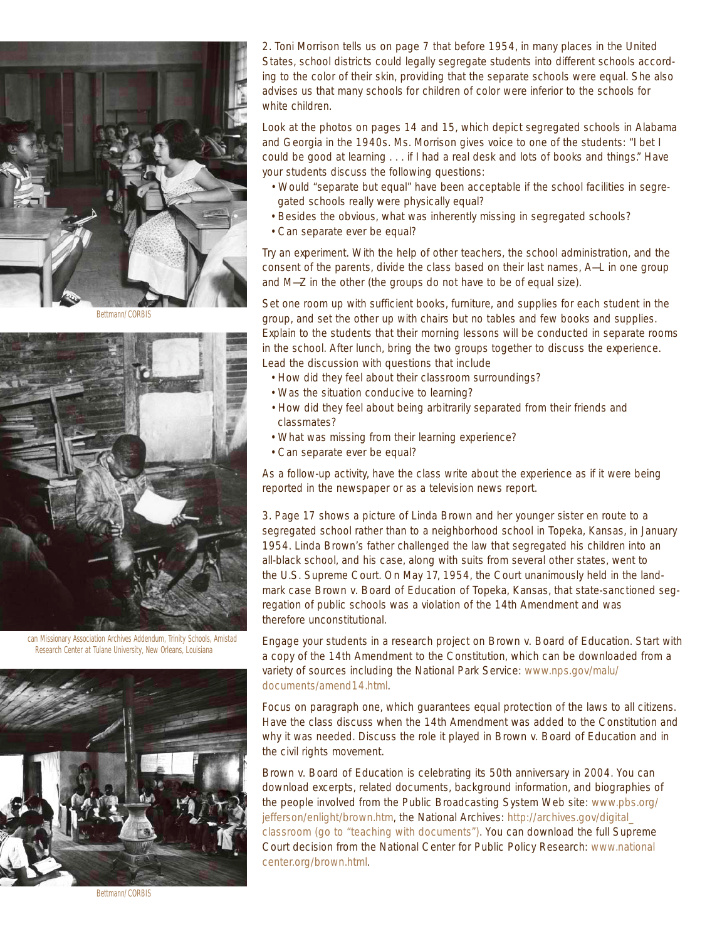

Bettmann/CORBIS



can Missionary Association Archives Addendum, Trinity Schools, Amistad Research Center at Tulane University, New Orleans, Louisiana



2. Toni Morrison tells us on page 7 that before 1954, in many places in the United States, school districts could legally segregate students into different schools according to the color of their skin, providing that the separate schools were equal. She also advises us that many schools for children of color were inferior to the schools for white children.

Look at the photos on pages 14 and 15, which depict segregated schools in Alabama and Georgia in the 1940s. Ms. Morrison gives voice to one of the students: "I bet I could be good at learning . . . if I had a real desk and lots of books and things." Have your students discuss the following questions:

- Would "separate but equal" have been acceptable if the school facilities in segregated schools really were physically equal?
- Besides the obvious, what was inherently missing in segregated schools?
- Can separate ever be equal?

Try an experiment. With the help of other teachers, the school administration, and the consent of the parents, divide the class based on their last names, A—L in one group and M—Z in the other (the groups do not have to be of equal size).

Set one room up with sufficient books, furniture, and supplies for each student in the group, and set the other up with chairs but no tables and few books and supplies. Explain to the students that their morning lessons will be conducted in separate rooms in the school. After lunch, bring the two groups together to discuss the experience. Lead the discussion with questions that include

- How did they feel about their classroom surroundings?
- Was the situation conducive to learning?
- How did they feel about being arbitrarily separated from their friends and classmates?
- What was missing from their learning experience?
- Can separate ever be equal?

As a follow-up activity, have the class write about the experience as if it were being reported in the newspaper or as a television news report.

3. Page 17 shows a picture of Linda Brown and her younger sister en route to a segregated school rather than to a neighborhood school in Topeka, Kansas, in January 1954. Linda Brown's father challenged the law that segregated his children into an all-black school, and his case, along with suits from several other states, went to the U.S. Supreme Court. On May 17, 1954, the Court unanimously held in the landmark case *Brown v. Board of Education of Topeka, Kansas*, that state-sanctioned segregation of public schools was a violation of the 14th Amendment and was therefore unconstitutional.

Engage your students in a research project on *Brown v. Board of Education*. Start with a copy of the 14th Amendment to the Constitution, which can be downloaded from a variety of sources including the National Park Service: www.nps.gov/malu/ documents/amend14.html.

Focus on paragraph one, which guarantees equal protection of the laws to all citizens. Have the class discuss when the 14th Amendment was added to the Constitution and why it was needed. Discuss the role it played in *Brown v. Board of Education* and in the civil rights movement.

*Brown v. Board of Education* is celebrating its 50th anniversary in 2004. You can download excerpts, related documents, background information, and biographies of the people involved from the Public Broadcasting System Web site: www.pbs.org/ jefferson/enlight/brown.htm, the National Archives: http://archives.gov/digital\_ classroom (go to "teaching with documents"). You can download the full Supreme Court decision from the National Center for Public Policy Research: www.national center.org/brown.html.

Bettmann/CORBIS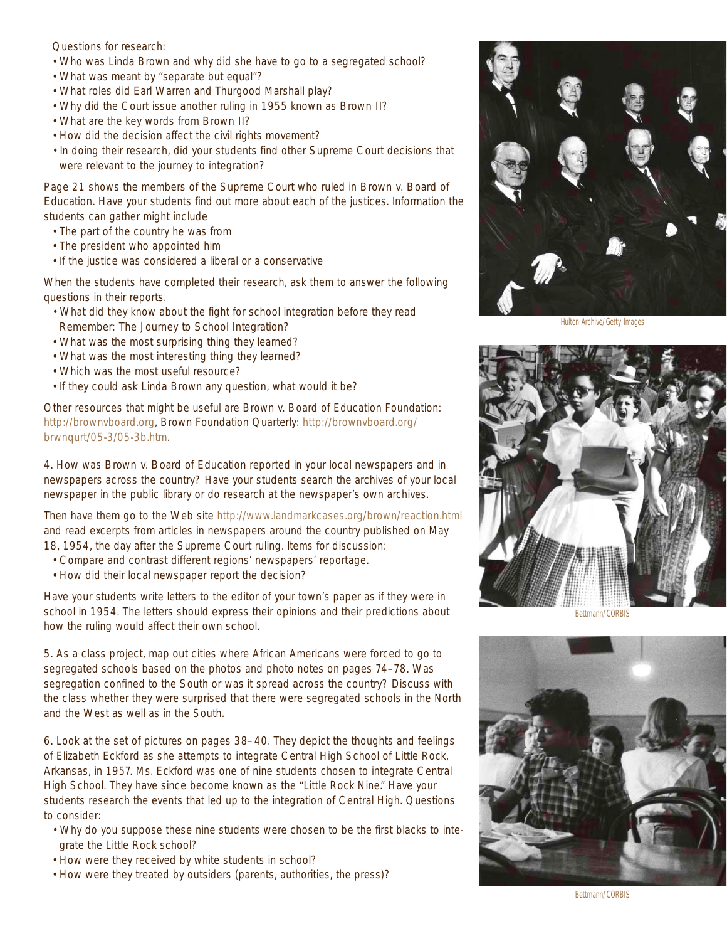Questions for research:

- Who was Linda Brown and why did she have to go to a segregated school?
- What was meant by "separate but equal"?
- What roles did Earl Warren and Thurgood Marshall play?
- Why did the Court issue another ruling in 1955 known as *Brown II*?
- What are the key words from *Brown II*?
- How did the decision affect the civil rights movement?
- In doing their research, did your students find other Supreme Court decisions that were relevant to the journey to integration?

Page 21 shows the members of the Supreme Court who ruled in *Brown v. Board of Education*. Have your students find out more about each of the justices. Information the students can gather might include

- The part of the country he was from
- The president who appointed him
- If the justice was considered a liberal or a conservative

When the students have completed their research, ask them to answer the following questions in their reports.

- What did they know about the fight for school integration before they read *Remember: The Journey to School Integration*?
- What was the most surprising thing they learned?
- What was the most interesting thing they learned?
- Which was the most useful resource?
- If they could ask Linda Brown any question, what would it be?

Other resources that might be useful are Brown v. Board of Education Foundation: http://brownvboard.org, Brown Foundation Quarterly: http://brownvboard.org/ brwnqurt/05-3/05-3b.htm.

4. How was *Brown v. Board of Education* reported in your local newspapers and in newspapers across the country? Have your students search the archives of your local newspaper in the public library or do research at the newspaper's own archives.

Then have them go to the Web site http://www.landmarkcases.org/brown/reaction.html and read excerpts from articles in newspapers around the country published on May 18, 1954, the day after the Supreme Court ruling. Items for discussion:

- Compare and contrast different regions' newspapers' reportage.
- How did their local newspaper report the decision?

Have your students write letters to the editor of your town's paper as if they were in school in 1954. The letters should express their opinions and their predictions about how the ruling would affect their own school.

5. As a class project, map out cities where African Americans were forced to go to segregated schools based on the photos and photo notes on pages 74–78. Was segregation confined to the South or was it spread across the country? Discuss with the class whether they were surprised that there were segregated schools in the North and the West as well as in the South.

6. Look at the set of pictures on pages 38–40. They depict the thoughts and feelings of Elizabeth Eckford as she attempts to integrate Central High School of Little Rock, Arkansas, in 1957. Ms. Eckford was one of nine students chosen to integrate Central High School. They have since become known as the "Little Rock Nine." Have your students research the events that led up to the integration of Central High. Questions to consider:

- Why do you suppose these nine students were chosen to be the first blacks to integrate the Little Rock school?
- How were they received by white students in school?
- How were they treated by outsiders (parents, authorities, the press)?



Hulton Archive/Getty Images







Bettmann/CORBIS